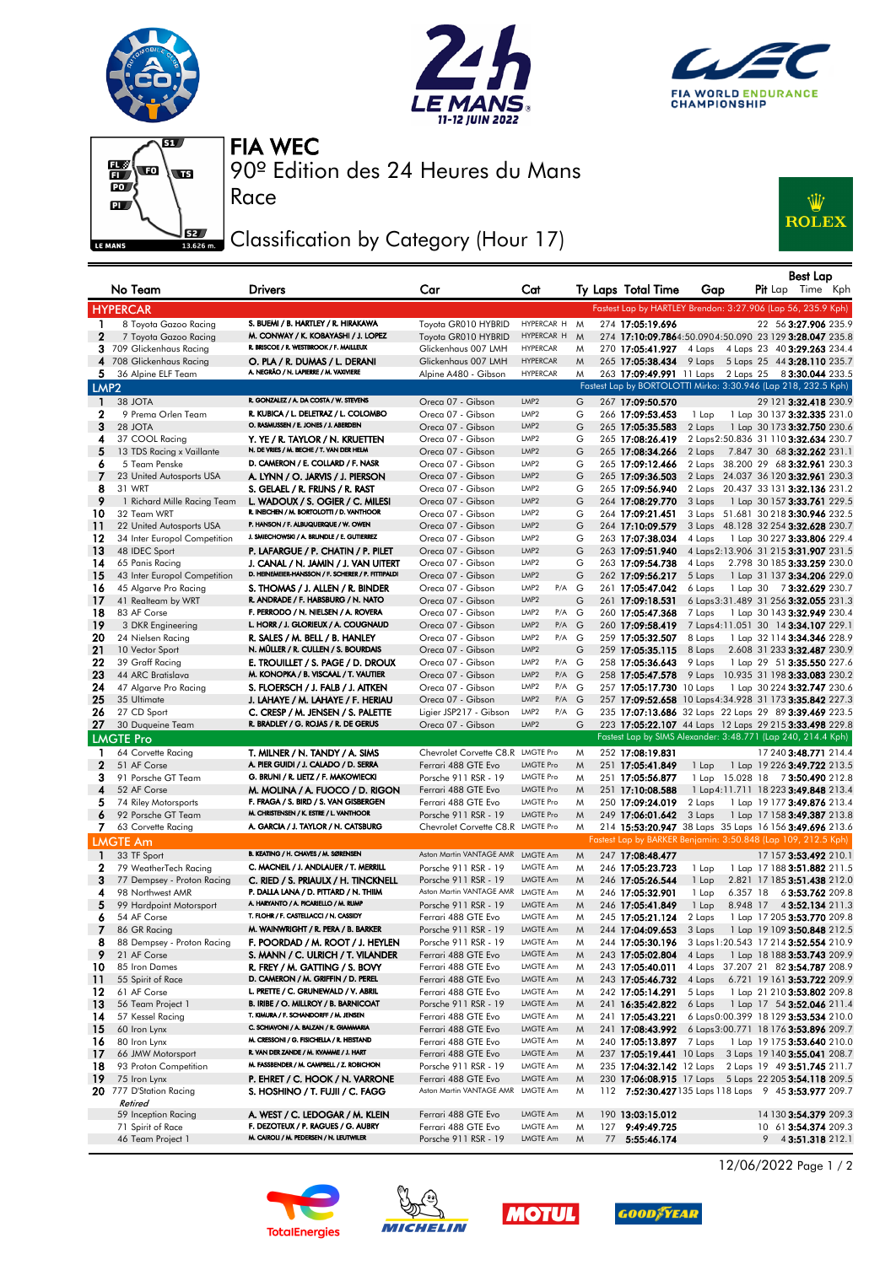







Race

90º Edition des 24 Heures du Mans FIA WEC

## Classification by Category (Hour 17)



|                   | No Team                                   | <b>Drivers</b>                                                                   | Car                                                      | Cat                                            |        | Ty Laps Total Time                                                                                              | Gap    |          | Best Lap<br><b>Pit</b> Lap Time Kph                                   |  |
|-------------------|-------------------------------------------|----------------------------------------------------------------------------------|----------------------------------------------------------|------------------------------------------------|--------|-----------------------------------------------------------------------------------------------------------------|--------|----------|-----------------------------------------------------------------------|--|
|                   | <b>HYPERCAR</b>                           |                                                                                  |                                                          |                                                |        | Fastest Lap by HARTLEY Brendon: 3:27.906 (Lap 56, 235.9 Kph)                                                    |        |          |                                                                       |  |
| $\mathbf{1}$      | 8 Toyota Gazoo Racing                     | S. BUEMI / B. HARTLEY / R. HIRAKAWA                                              | Toyota GR010 HYBRID                                      | HYPERCAR H M                                   |        | 274 17:05:19.696                                                                                                |        |          | 22 56 3:27.906 235.9                                                  |  |
| $\mathbf 2$       | 7 Toyota Gazoo Racing                     | M. CONWAY / K. KOBAYASHI / J. LOPEZ                                              | Toyota GR010 HYBRID                                      | HYPERCAR H                                     | M      | 274 17:10:09.7864:50.0904:50.090 23 129 3:28.047 235.8                                                          |        |          |                                                                       |  |
|                   | 3 709 Glickenhaus Racing                  | R. BRISCOE / R. WESTBROOK / F. MAILLEUX                                          | Glickenhaus 007 LMH                                      | <b>HYPERCAR</b>                                | M      | 270 17:05:41.927 4 Laps 4 Laps 23 40 3:29.263 234.4                                                             |        |          |                                                                       |  |
|                   | 4 708 Glickenhaus Racing                  | O. PLA / R. DUMAS / L. DERANI                                                    | Glickenhaus 007 LMH                                      | <b>HYPERCAR</b>                                | M      | 265 17:05:38.434                                                                                                |        |          | 9 Laps 5 Laps 25 44 3:28.110 235.7                                    |  |
| 5.                | 36 Alpine ELF Team                        | A. NEGRÃO / N. LAPIERRE / M. VAXIVIERE                                           | Alpine A480 - Gibson                                     | <b>HYPERCAR</b>                                | M      | 263 17:09:49.991 11 Laps 2 Laps 25 83:30.044 233.5                                                              |        |          |                                                                       |  |
| LMP <sub>2</sub>  |                                           |                                                                                  |                                                          |                                                |        | Fastest Lap by BORTOLOTTI Mirko: 3:30.946 (Lap 218, 232.5 Kph)                                                  |        |          |                                                                       |  |
| $\mathbf{1}$      | 38 JOTA                                   | R. GONZALEZ / A. DA COSTA / W. STEVENS                                           | Oreca 07 - Gibson                                        | LMP <sub>2</sub>                               | G      | 267 17:09:50.570                                                                                                |        |          | 29 121 3:32.418 230.9                                                 |  |
| 2                 | 9 Prema Orlen Team                        | R. KUBICA / L. DELETRAZ / L. COLOMBO                                             | Oreca 07 - Gibson                                        | LMP2                                           | G      | 266 17:09:53.453                                                                                                | 1 Lap  |          | 1 Lap 30 137 3:32.335 231.0                                           |  |
| 3                 | 28 JOTA                                   | O. RASMUSSEN / E. JONES / J. ABERDEIN                                            | Oreca 07 - Gibson                                        | LMP <sub>2</sub>                               | G      | 265 17:05:35.583                                                                                                | 2 Laps |          | 1 Lap 30 173 3:32.750 230.6                                           |  |
| 4                 | 37 COOL Racing                            | Y. YE / R. TAYLOR / N. KRUETTEN<br>N. DE VRIES / M. BECHE / T. VAN DER HELM      | Oreca 07 - Gibson                                        | LMP <sub>2</sub>                               | G      | 265 17:08:26.419                                                                                                |        |          | 2 Laps 2:50.836 31 110 3:32.634 230.7                                 |  |
| 5                 | 13 TDS Racing x Vaillante                 | D. CAMERON / E. COLLARD / F. NASR                                                | Oreca 07 - Gibson                                        | LMP <sub>2</sub><br>LMP <sub>2</sub>           | G      | 265 17:08:34.266                                                                                                | 2 Laps |          | 7.847 30 68 3:32.262 231.1                                            |  |
| 6<br>7            | 5 Team Penske<br>23 United Autosports USA |                                                                                  | Oreca 07 - Gibson<br>Oreca 07 - Gibson                   | LMP2                                           | G<br>G | 265 17:09:12.466<br>265 17:09:36.503                                                                            |        |          | 2 Laps 38.200 29 68 3:32.961 230.3                                    |  |
| 8                 | 31 WRT                                    | A. LYNN / O. JARVIS / J. PIERSON<br>S. GELAEL / R. FRIJNS / R. RAST              | Oreca 07 - Gibson                                        | LMP <sub>2</sub>                               | G      | 265 17:09:56.940                                                                                                | 2 Laps |          | 2 Laps 24.037 36 120 3:32.961 230.3<br>20.437 33 131 3:32.136 231.2   |  |
| 9                 | 1 Richard Mille Racing Team               | L. WADOUX / S. OGIER / C. MILESI                                                 | Oreca 07 - Gibson                                        | LMP2                                           | G      | 264 17:08:29.770                                                                                                | 3 Laps |          | 1 Lap 30 157 3:33.761 229.5                                           |  |
| 10                | 32 Team WRT                               | R. INEICHEN / M. BORTOLOTTI / D. VANTHOOR                                        | Oreca 07 - Gibson                                        | LMP2                                           | G      | 264 17:09:21.451                                                                                                |        |          | 3 Laps 51.681 30 218 3:30.946 232.5                                   |  |
| 11                | 22 United Autosports USA                  | P. HANSON / F. ALBUQUERQUE / W. OWEN                                             | Oreca 07 - Gibson                                        | LMP <sub>2</sub>                               | G      | 264 17:10:09.579                                                                                                | 3 Laps |          | 48.128 32 254 3:32.628 230.7                                          |  |
| 12                | 34 Inter Europol Competition              | J. SMIECHOWSKI / A. BRUNDLE / E. GUTIERREZ                                       | Oreca 07 - Gibson                                        | LMP <sub>2</sub>                               | G      | 263 17:07:38.034                                                                                                | 4 Laps |          | 1 Lap 30 227 3:33.806 229.4                                           |  |
| 13                | 48 IDEC Sport                             | P. LAFARGUE / P. CHATIN / P. PILET                                               | Oreca 07 - Gibson                                        | LMP <sub>2</sub>                               | G      | 263 17:09:51.940                                                                                                |        |          | 4 Laps 2:13.906 31 215 3:31.907 231.5                                 |  |
| 14                | 65 Panis Racing                           | J. CANAL / N. JAMIN / J. VAN UITERT                                              | Oreca 07 - Gibson                                        | LMP <sub>2</sub>                               | G      | 263 17:09:54.738                                                                                                | 4 Laps |          | 2.798 30 185 3:33.259 230.0                                           |  |
| 15                | 43 Inter Europol Competition              | D. HEINEMEIER-HANSSON / F. SCHERER / P. FITTIPALDI                               | Oreca 07 - Gibson                                        | LMP <sub>2</sub>                               | G      | 262 17:09:56.217                                                                                                | 5 Laps |          | 1 Lap 31 137 3:34.206 229.0                                           |  |
| 16                | 45 Algarve Pro Racing                     | S. THOMAS / J. ALLEN / R. BINDER                                                 | Oreca 07 - Gibson                                        | LMP <sub>2</sub><br>P/A G                      |        | 261 17:05:47.042                                                                                                | 6 Laps |          | 1 Lap 30 73:32.629 230.7                                              |  |
| 17                | 41 Realteam by WRT                        | R. ANDRADE / F. HABSBURG / N. NATO                                               | Oreca 07 - Gibson                                        | LMP <sub>2</sub>                               | G      | 261 17:09:18.531                                                                                                |        |          | 6 Laps 3:31.489 31 256 3:32.055 231.3                                 |  |
| 18                | 83 AF Corse                               | F. PERRODO / N. NIELSEN / A. ROVERA                                              | Oreca 07 - Gibson                                        | LMP <sub>2</sub><br>P/A G                      |        | 260 17:05:47.368                                                                                                | 7 Laps |          | 1 Lap 30 143 3:32.949 230.4                                           |  |
| 19                | 3 DKR Engineering                         | L. HORR / J. GLORIEUX / A. COUGNAUD                                              | Oreca 07 - Gibson                                        | LMP <sub>2</sub><br>$P/A$ $G$                  |        | 260 17:09:58.419                                                                                                |        |          | 7 Laps 4:11.051 30 14 3:34.107 229.1                                  |  |
| 20                | 24 Nielsen Racing                         | R. SALES / M. BELL / B. HANLEY                                                   | Oreca 07 - Gibson                                        | LMP <sub>2</sub><br>P/A G                      |        | 259 17:05:32.507                                                                                                | 8 Laps |          | 1 Lap 32 114 3:34.346 228.9                                           |  |
| 21                | 10 Vector Sport                           | N. MÜLLER / R. CULLEN / S. BOURDAIS                                              | Oreca 07 - Gibson                                        | LMP <sub>2</sub>                               | G      | 259 17:05:35.115                                                                                                | 8 Laps |          | 2.608 31 233 3:32.487 230.9                                           |  |
| 22                | 39 Graff Racing                           | E. TROUILLET / S. PAGE / D. DROUX                                                | Oreca 07 - Gibson                                        | LMP <sub>2</sub><br>P/A G                      |        | 258 17:05:36.643                                                                                                | 9 Laps |          | 1 Lap 29 51 3:35.550 227.6                                            |  |
| 23                | 44 ARC Bratislava                         | M. KONOPKA / B. VISCAAL / T. VAUTIER                                             | Oreca 07 - Gibson                                        | LMP <sub>2</sub><br>$P/A$ $G$                  |        | 258 17:05:47.578                                                                                                | 9 Laps |          | 10.935 31 198 3:33.083 230.2                                          |  |
| 24                | 47 Algarve Pro Racing                     | S. FLOERSCH / J. FALB / J. AITKEN                                                | Oreca 07 - Gibson                                        | LMP <sub>2</sub><br>P/A G                      |        | 257 17:05:17.730 10 Laps                                                                                        |        |          | 1 Lap 30 224 3:32.747 230.6                                           |  |
| 25<br>26          | 35 Ultimate                               | J. LAHAYE / M. LAHAYE / F. HERIAU                                                | Oreca 07 - Gibson                                        | LMP <sub>2</sub><br>$P/A$ $G$<br>LMP2<br>P/A G |        | 257 17:09:52.658 10 Laps 4:34.928 31 173 3:35.842 227.3                                                         |        |          |                                                                       |  |
| 27                | 27 CD Sport<br>30 Duqueine Team           | C. CRESP / M. JENSEN / S. PALETTE<br>R. BRADLEY / G. ROJAS / R. DE GERUS         | Ligier JSP217 - Gibson<br>Oreca 07 - Gibson              | LMP <sub>2</sub>                               | G      | 235 17:07:13.686 32 Laps 22 Laps 29 89 3:39.469 223.5<br>223 17:05:22.107 44 Laps 12 Laps 29 215 3:33.498 229.8 |        |          |                                                                       |  |
|                   | <b>LMGTE Pro</b>                          |                                                                                  |                                                          |                                                |        | Fastest Lap by SIMS Alexander: 3:48.771 (Lap 240, 214.4 Kph)                                                    |        |          |                                                                       |  |
|                   |                                           |                                                                                  |                                                          |                                                |        |                                                                                                                 |        |          |                                                                       |  |
| 1<br>$\mathbf{2}$ | 64 Corvette Racing<br>51 AF Corse         | T. MILNER / N. TANDY / A. SIMS<br>A. PIER GUIDI / J. CALADO / D. SERRA           | Chevrolet Corvette C8.R LMGTE Pro<br>Ferrari 488 GTE Evo | <b>LMGTE Pro</b>                               | M<br>M | 252 17:08:19.831                                                                                                |        |          | 17 240 3:48.771 214.4                                                 |  |
| 3                 | 91 Porsche GT Team                        | G. BRUNI / R. LIETZ / F. MAKOWIECKI                                              | Porsche 911 RSR - 19                                     | <b>LMGTE Pro</b>                               | M      | 251 17:05:41.849<br>251 17:05:56.877                                                                            | 1 Lap  |          | 1 Lap 19 226 <b>3:49.722</b> 213.5<br>1 Lap 15.028 18 73:50.490 212.8 |  |
| 4                 | 52 AF Corse                               | M. MOLINA / A. FUOCO / D. RIGON                                                  | Ferrari 488 GTE Evo                                      | <b>LMGTE Pro</b>                               | M      | 251 17:10:08.588                                                                                                |        |          | 1 Lap 4:11.711 18 223 3:49.848 213.4                                  |  |
| 5                 | 74 Riley Motorsports                      | F. FRAGA / S. BIRD / S. VAN GISBERGEN                                            | Ferrari 488 GTE Evo                                      | <b>LMGTE Pro</b>                               | M      | 250 17:09:24.019                                                                                                | 2 Laps |          | 1 Lap 19 177 3:49.876 213.4                                           |  |
| 6                 | 92 Porsche GT Team                        | M. CHRISTENSEN / K. ESTRE / L. VANTHOOR                                          | Porsche 911 RSR - 19                                     | <b>LMGTE Pro</b>                               | M      | 249 17:06:01.642                                                                                                | 3 Laps |          | 1 Lap 17 158 3:49.387 213.8                                           |  |
|                   | 7 63 Corvette Racing                      | A. GARCIA / J. TAYLOR / N. CATSBURG                                              | Chevrolet Corvette C8.R LMGTE Pro                        |                                                | M      | 214 15:53:20.947 38 Laps 35 Laps 16 156 3:49.696 213.6                                                          |        |          |                                                                       |  |
|                   | <b>LMGTE Am</b>                           |                                                                                  |                                                          |                                                |        | Fastest Lap by BARKER Benjamin: 3:50.848 (Lap 109, 212.5 Kph)                                                   |        |          |                                                                       |  |
| $\mathbf{1}$      | 33 TF Sport                               | B. KEATING / H. CHAVES / M. SØRENSEN                                             | Aston Martin VANTAGE AMR LMGTE Am                        |                                                | M      | 247 17:08:48.477                                                                                                |        |          | 17 157 3:53.492 210.1                                                 |  |
| 2                 | 79 WeatherTech Racing                     | C. MACNEIL / J. ANDLAUER / T. MERRILL                                            | Porsche 911 RSR - 19                                     | LMGTE Am                                       | M      | 246 17:05:23.723                                                                                                | 1 Lap  |          | 1 Lap 17 188 3:51.882 211.5                                           |  |
| 3                 | 77 Dempsey - Proton Racing                | C. RIED / S. PRIAULX / H. TINCKNELL                                              | Porsche 911 RSR - 19                                     | LMGTE Am                                       | M      | 246 17:05:26.544                                                                                                | 1 Lap  |          | 2.821 17 185 3:51.438 212.0                                           |  |
| 4                 | 98 Northwest AMR                          | P. DALLA LANA / D. PITTARD / N. THIIM                                            | Aston Martin VANTAGE AMR LMGTE Am                        |                                                | M      | 246 17:05:32.901                                                                                                | 1 Lap  | 6.357 18 | 63:53.762 209.8                                                       |  |
| 5                 | 99 Hardpoint Motorsport                   | A. HARYANTO / A. PICARIELLO / M. RUMP                                            | Porsche 911 RSR - 19                                     | LMGTE Am                                       | M      | 246 17:05:41.849                                                                                                | 1 Lap  | 8.948 17 | 4 3:52.134 211.3                                                      |  |
| 6                 | 54 AF Corse                               | T. FLOHR / F. CASTELLACCI / N. CASSIDY                                           | Ferrari 488 GTE Evo                                      | LMGTE Am                                       | M      | 245 17:05:21.124                                                                                                | 2 Laps |          | 1 Lap 17 205 3:53.770 209.8                                           |  |
| 7                 | 86 GR Racing                              | M. WAINWRIGHT / R. PERA / B. BARKER                                              | Porsche 911 RSR - 19                                     | LMGTE Am                                       | M      | 244 17:04:09.653                                                                                                |        |          | 3 Laps 1 Lap 19 109 3:50.848 212.5                                    |  |
| 8                 | 88 Dempsey - Proton Racing                | F. POORDAD / M. ROOT / J. HEYLEN                                                 | Porsche 911 RSR - 19                                     | LMGTE Am                                       | M      | 244 17:05:30.196                                                                                                |        |          | 3 Laps 1:20.543 17 214 3:52.554 210.9                                 |  |
| 9                 | 21 AF Corse                               | S. MANN / C. ULRICH / T. VILANDER                                                | Ferrari 488 GTE Evo                                      | LMGTE Am                                       | M      | 243 17:05:02.804                                                                                                | 4 Laps |          | 1 Lap 18 188 3:53.743 209.9                                           |  |
| 10                | 85 Iron Dames                             | R. FREY / M. GATTING / S. BOVY                                                   | Ferrari 488 GTE Evo                                      | LMGTE Am                                       | M      | 243 17:05:40.011                                                                                                |        |          | 4 Laps 37.207 21 82 3:54.787 208.9                                    |  |
| 11                | 55 Spirit of Race                         | D. CAMERON / M. GRIFFIN / D. PEREL                                               | Ferrari 488 GTE Evo                                      | LMGTE Am                                       | M      | 243 17:05:46.732                                                                                                | 4 Laps |          | 6.721 19 161 3:53.722 209.9                                           |  |
| 12                | 61 AF Corse                               | L. PRETTE / C. GRUNEWALD / V. ABRIL                                              | Ferrari 488 GTE Evo                                      | LMGTE Am                                       | M      | 242 17:05:14.291                                                                                                | 5 Laps |          | 1 Lap 21 210 3:53.802 209.8                                           |  |
| 13                | 56 Team Project 1                         | B. IRIBE / O. MILLROY / B. BARNICOAT                                             | Porsche 911 RSR - 19                                     | LMGTE Am                                       | M      | 241 16:35:42.822                                                                                                | 6 Laps |          | 1 Lap 17 54 3:52.046 211.4                                            |  |
| 14                | 57 Kessel Racing                          | T. KIMURA / F. SCHANDORFF / M. JENSEN<br>C. SCHIAVONI / A. BALZAN / R. GIAMMARIA | Ferrari 488 GTE Evo                                      | LMGTE Am                                       | M      | 241 17:05:43.221                                                                                                |        |          | 6 Laps 0:00.399 18 129 3:53.534 210.0                                 |  |
| -15               | 60 Iron Lynx                              | M. CRESSONI / G. FISICHELLA / R. HEISTAND                                        | Ferrari 488 GTE Evo                                      | LMGTE Am                                       | M      | 241 17:08:43.992                                                                                                |        |          | 6 Laps 3:00.771 18 176 3:53.896 209.7                                 |  |
| 16                | 80 Iron Lynx                              | R. VAN DER ZANDE / M. KVAMME / J. HART                                           | Ferrari 488 GTE Evo                                      | LMGTE Am                                       | M      | 240 17:05:13.897                                                                                                | 7 Laps |          | 1 Lap 19 175 3:53.640 210.0                                           |  |
| -17               | 66 JMW Motorsport                         | M. FASSBENDER / M. CAMPBELL / Z. ROBICHON                                        | Ferrari 488 GTE Evo                                      | LMGTE Am<br>LMGTE Am                           | M      | 237 17:05:19.441 10 Laps                                                                                        |        |          | 3 Laps 19 140 3:55.041 208.7                                          |  |
| 18<br>19          | 93 Proton Competition<br>75 Iron Lynx     | P. EHRET / C. HOOK / N. VARRONE                                                  | Porsche 911 RSR - 19<br>Ferrari 488 GTE Evo              | LMGTE Am                                       | M<br>M | 235 17:04:32.142 12 Laps 2 Laps 19 49 3:51.745 211.7<br>230 17:06:08.915 17 Laps 5 Laps 22 205 3:54.118 209.5   |        |          |                                                                       |  |
|                   | 20 777 D'Station Racing<br>Retired        | S. HOSHINO / T. FUJII / C. FAGG                                                  | Aston Martin VANTAGE AMR                                 | LMGTE Am                                       | M      | 112 7:52:30.427135 Laps 118 Laps 9 45 3:53.977 209.7                                                            |        |          |                                                                       |  |
|                   | 59 Inception Racing                       | A. WEST / C. LEDOGAR / M. KLEIN                                                  | Ferrari 488 GTE Evo                                      | LMGTE Am                                       | M      | 190 13:03:15.012                                                                                                |        |          | 14 130 3:54.379 209.3                                                 |  |
|                   | 71 Spirit of Race                         | F. DEZOTEUX / P. RAGUES / G. AUBRY                                               | Ferrari 488 GTE Evo                                      | LMGTE Am                                       | M      | 127 9:49:49.725                                                                                                 |        |          | 10 61 3:54.374 209.3                                                  |  |
|                   | 46 Team Project 1                         | M. CAIROLI / M. PEDERSEN / N. LEUTWILER                                          | Porsche 911 RSR - 19                                     | LMGTE Am                                       | M      | 77 5:55:46.174                                                                                                  |        |          | $9$ 4 3:51.318 212.1                                                  |  |









12/06/2022 Page 1 / 2